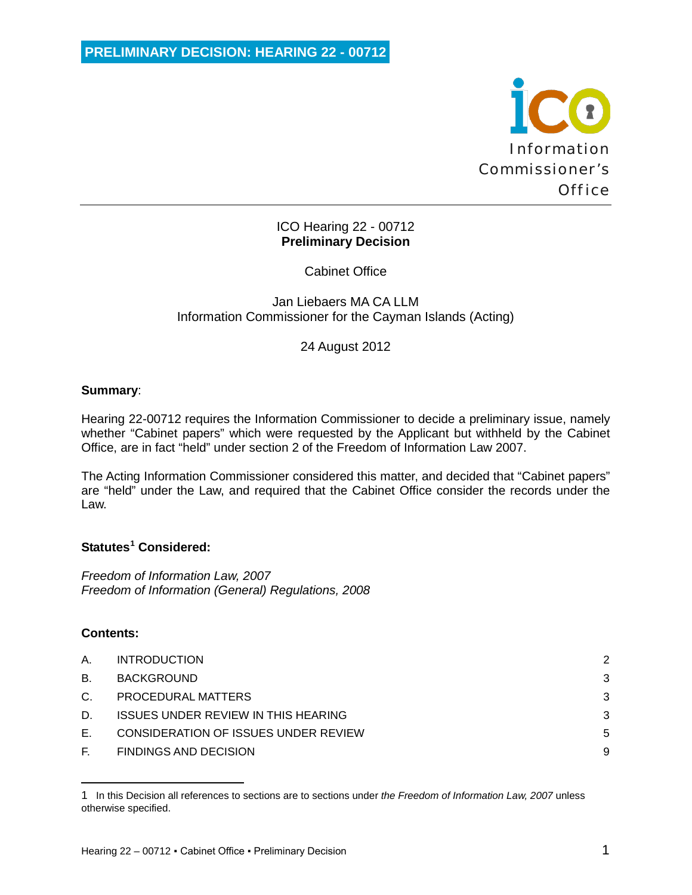

# ICO Hearing 22 - 00712 **Preliminary Decision**

Cabinet Office

Jan Liebaers MA CA LLM Information Commissioner for the Cayman Islands (Acting)

24 August 2012

# **Summary**:

Hearing 22-00712 requires the Information Commissioner to decide a preliminary issue, namely whether "Cabinet papers" which were requested by the Applicant but withheld by the Cabinet Office, are in fact "held" under section 2 of the Freedom of Information Law 2007.

The Acting Information Commissioner considered this matter, and decided that "Cabinet papers" are "held" under the Law, and required that the Cabinet Office consider the records under the Law.

# **Statutes[1](#page-0-0) Considered:**

*Freedom of Information Law, 2007 Freedom of Information (General) Regulations, 2008*

# **Contents:**

ı

| Α.      | <b>INTRODUCTION</b>                         | 2 |
|---------|---------------------------------------------|---|
| B.      | BACKGROUND                                  | 3 |
| $C_{1}$ | PROCEDURAL MATTERS                          | 3 |
| D.      | <b>ISSUES UNDER REVIEW IN THIS HEARING</b>  | 3 |
| Е.      | <b>CONSIDERATION OF ISSUES UNDER REVIEW</b> | 5 |
| E.      | <b>FINDINGS AND DECISION</b>                | 9 |

<span id="page-0-0"></span><sup>1</sup> In this Decision all references to sections are to sections under *the Freedom of Information Law, 2007* unless otherwise specified.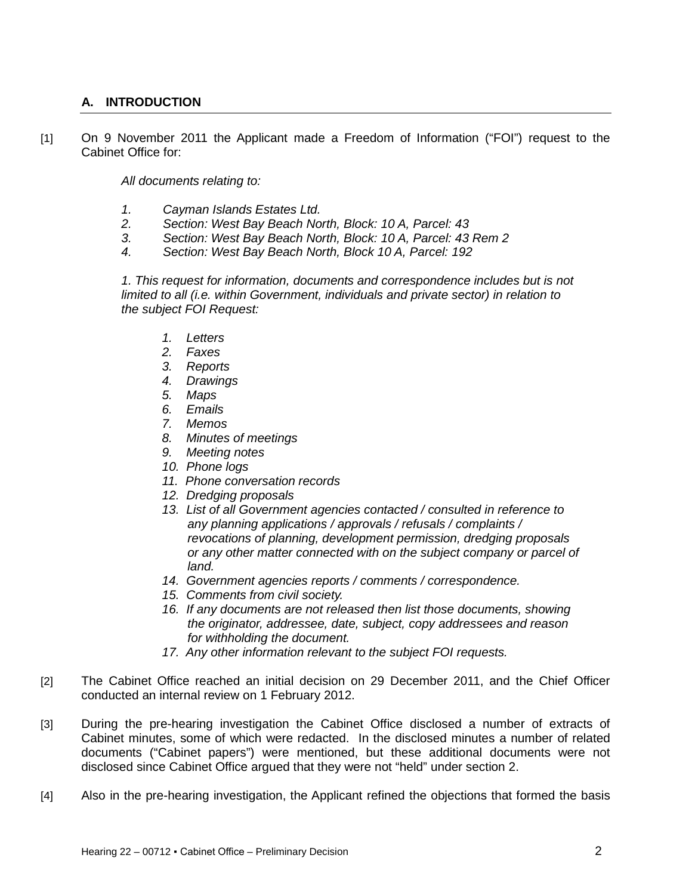# <span id="page-1-0"></span>**A. INTRODUCTION**

[1] On 9 November 2011 the Applicant made a Freedom of Information ("FOI") request to the Cabinet Office for:

*All documents relating to:*

- *1. Cayman Islands Estates Ltd.*
- *2. Section: West Bay Beach North, Block: 10 A, Parcel: 43*
- *3. Section: West Bay Beach North, Block: 10 A, Parcel: 43 Rem 2*
- *4. Section: West Bay Beach North, Block 10 A, Parcel: 192*

*1. This request for information, documents and correspondence includes but is not limited to all (i.e. within Government, individuals and private sector) in relation to the subject FOI Request:*

- *1. Letters*
- *2. Faxes*
- *3. Reports*
- *4. Drawings*
- *5. Maps*
- *6. Emails*
- *7. Memos*
- *8. Minutes of meetings*
- *9. Meeting notes*
- *10. Phone logs*
- *11. Phone conversation records*
- *12. Dredging proposals*
- *13. List of all Government agencies contacted / consulted in reference to any planning applications / approvals / refusals / complaints / revocations of planning, development permission, dredging proposals or any other matter connected with on the subject company or parcel of land.*
- *14. Government agencies reports / comments / correspondence.*
- *15. Comments from civil society.*
- *16. If any documents are not released then list those documents, showing the originator, addressee, date, subject, copy addressees and reason for withholding the document.*
- *17. Any other information relevant to the subject FOI requests.*
- [2] The Cabinet Office reached an initial decision on 29 December 2011, and the Chief Officer conducted an internal review on 1 February 2012.
- [3] During the pre-hearing investigation the Cabinet Office disclosed a number of extracts of Cabinet minutes, some of which were redacted. In the disclosed minutes a number of related documents ("Cabinet papers") were mentioned, but these additional documents were not disclosed since Cabinet Office argued that they were not "held" under section 2.
- [4] Also in the pre-hearing investigation, the Applicant refined the objections that formed the basis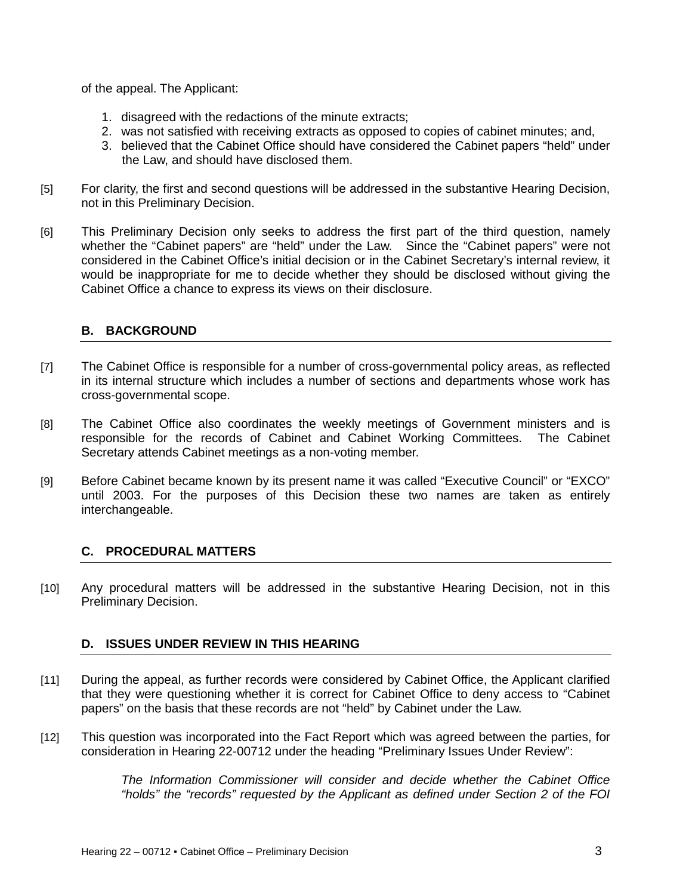of the appeal. The Applicant:

- 1. disagreed with the redactions of the minute extracts;
- 2. was not satisfied with receiving extracts as opposed to copies of cabinet minutes; and,
- 3. believed that the Cabinet Office should have considered the Cabinet papers "held" under the Law, and should have disclosed them.
- [5] For clarity, the first and second questions will be addressed in the substantive Hearing Decision, not in this Preliminary Decision.
- [6] This Preliminary Decision only seeks to address the first part of the third question, namely whether the "Cabinet papers" are "held" under the Law. Since the "Cabinet papers" were not considered in the Cabinet Office's initial decision or in the Cabinet Secretary's internal review, it would be inappropriate for me to decide whether they should be disclosed without giving the Cabinet Office a chance to express its views on their disclosure.

# <span id="page-2-0"></span>**B. BACKGROUND**

- [7] The Cabinet Office is responsible for a number of cross-governmental policy areas, as reflected in its internal structure which includes a number of sections and departments whose work has cross-governmental scope.
- [8] The Cabinet Office also coordinates the weekly meetings of Government ministers and is responsible for the records of Cabinet and Cabinet Working Committees. The Cabinet Secretary attends Cabinet meetings as a non-voting member.
- [9] Before Cabinet became known by its present name it was called "Executive Council" or "EXCO" until 2003. For the purposes of this Decision these two names are taken as entirely interchangeable.

## <span id="page-2-1"></span>**C. PROCEDURAL MATTERS**

[10] Any procedural matters will be addressed in the substantive Hearing Decision, not in this Preliminary Decision.

## <span id="page-2-2"></span>**D. ISSUES UNDER REVIEW IN THIS HEARING**

- [11] During the appeal, as further records were considered by Cabinet Office, the Applicant clarified that they were questioning whether it is correct for Cabinet Office to deny access to "Cabinet papers" on the basis that these records are not "held" by Cabinet under the Law.
- [12] This question was incorporated into the Fact Report which was agreed between the parties, for consideration in Hearing 22-00712 under the heading "Preliminary Issues Under Review":

*The Information Commissioner will consider and decide whether the Cabinet Office "holds" the "records" requested by the Applicant as defined under Section 2 of the FOI*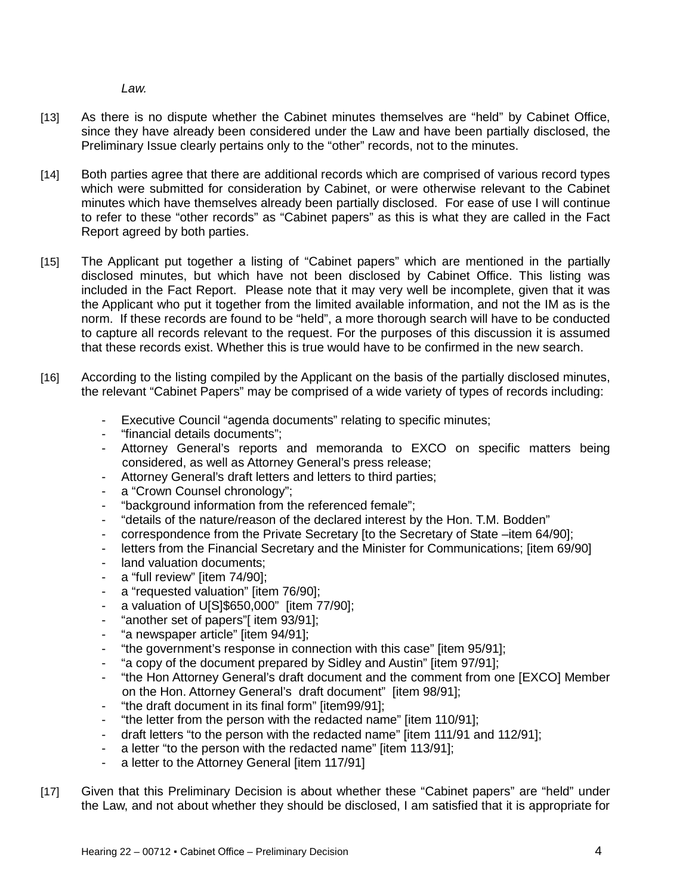*Law.* 

- [13] As there is no dispute whether the Cabinet minutes themselves are "held" by Cabinet Office, since they have already been considered under the Law and have been partially disclosed, the Preliminary Issue clearly pertains only to the "other" records, not to the minutes.
- [14] Both parties agree that there are additional records which are comprised of various record types which were submitted for consideration by Cabinet, or were otherwise relevant to the Cabinet minutes which have themselves already been partially disclosed. For ease of use I will continue to refer to these "other records" as "Cabinet papers" as this is what they are called in the Fact Report agreed by both parties.
- [15] The Applicant put together a listing of "Cabinet papers" which are mentioned in the partially disclosed minutes, but which have not been disclosed by Cabinet Office. This listing was included in the Fact Report. Please note that it may very well be incomplete, given that it was the Applicant who put it together from the limited available information, and not the IM as is the norm. If these records are found to be "held", a more thorough search will have to be conducted to capture all records relevant to the request. For the purposes of this discussion it is assumed that these records exist. Whether this is true would have to be confirmed in the new search.
- [16] According to the listing compiled by the Applicant on the basis of the partially disclosed minutes, the relevant "Cabinet Papers" may be comprised of a wide variety of types of records including:
	- Executive Council "agenda documents" relating to specific minutes;
	- "financial details documents";
	- Attorney General's reports and memoranda to EXCO on specific matters being considered, as well as Attorney General's press release;
	- Attorney General's draft letters and letters to third parties;
	- a "Crown Counsel chronology";
	- "background information from the referenced female";
	- "details of the nature/reason of the declared interest by the Hon. T.M. Bodden"
	- correspondence from the Private Secretary [to the Secretary of State –item 64/90];
	- letters from the Financial Secretary and the Minister for Communications; [item 69/90]
	- land valuation documents;
	- a "full review" [item 74/90];
	- a "requested valuation" [item 76/90];
	- a valuation of U[S]\$650,000" [item 77/90];
	- "another set of papers"[ item 93/91];
	- "a newspaper article" [item 94/91];
	- "the government's response in connection with this case" [item 95/91];
	- "a copy of the document prepared by Sidley and Austin" [item 97/91];
	- "the Hon Attorney General's draft document and the comment from one [EXCO] Member on the Hon. Attorney General's draft document" [item 98/91];
	- "the draft document in its final form" [item99/91];
	- "the letter from the person with the redacted name" [item 110/91];
	- draft letters "to the person with the redacted name" [item 111/91 and 112/91];
	- a letter "to the person with the redacted name" [item 113/91];
	- a letter to the Attorney General [item 117/91]
- [17] Given that this Preliminary Decision is about whether these "Cabinet papers" are "held" under the Law, and not about whether they should be disclosed, I am satisfied that it is appropriate for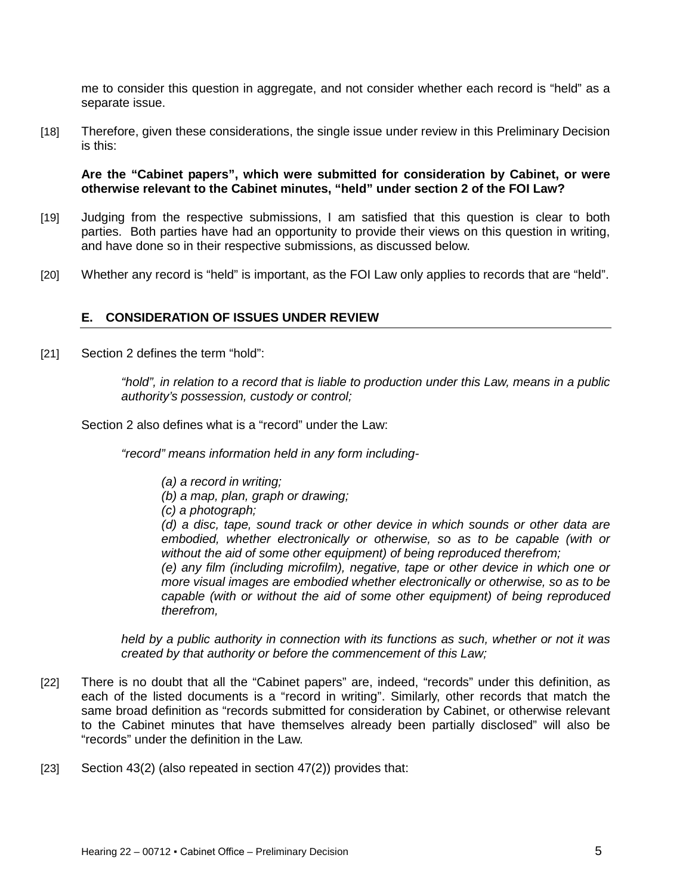me to consider this question in aggregate, and not consider whether each record is "held" as a separate issue.

[18] Therefore, given these considerations, the single issue under review in this Preliminary Decision is this:

**Are the "Cabinet papers", which were submitted for consideration by Cabinet, or were otherwise relevant to the Cabinet minutes, "held" under section 2 of the FOI Law?**

- [19] Judging from the respective submissions, I am satisfied that this question is clear to both parties. Both parties have had an opportunity to provide their views on this question in writing, and have done so in their respective submissions, as discussed below.
- [20] Whether any record is "held" is important, as the FOI Law only applies to records that are "held".

#### <span id="page-4-0"></span>**E. CONSIDERATION OF ISSUES UNDER REVIEW**

[21] Section 2 defines the term "hold":

*"hold", in relation to a record that is liable to production under this Law, means in a public authority's possession, custody or control;*

Section 2 also defines what is a "record" under the Law:

*"record" means information held in any form including-*

- *(a) a record in writing;*
- *(b) a map, plan, graph or drawing;*
- *(c) a photograph;*

*(d) a disc, tape, sound track or other device in which sounds or other data are embodied, whether electronically or otherwise, so as to be capable (with or without the aid of some other equipment) of being reproduced therefrom;*

*(e) any film (including microfilm), negative, tape or other device in which one or more visual images are embodied whether electronically or otherwise, so as to be capable (with or without the aid of some other equipment) of being reproduced therefrom,* 

*held by a public authority in connection with its functions as such, whether or not it was created by that authority or before the commencement of this Law;*

- [22] There is no doubt that all the "Cabinet papers" are, indeed, "records" under this definition, as each of the listed documents is a "record in writing". Similarly, other records that match the same broad definition as "records submitted for consideration by Cabinet, or otherwise relevant to the Cabinet minutes that have themselves already been partially disclosed" will also be "records" under the definition in the Law.
- [23] Section 43(2) (also repeated in section 47(2)) provides that: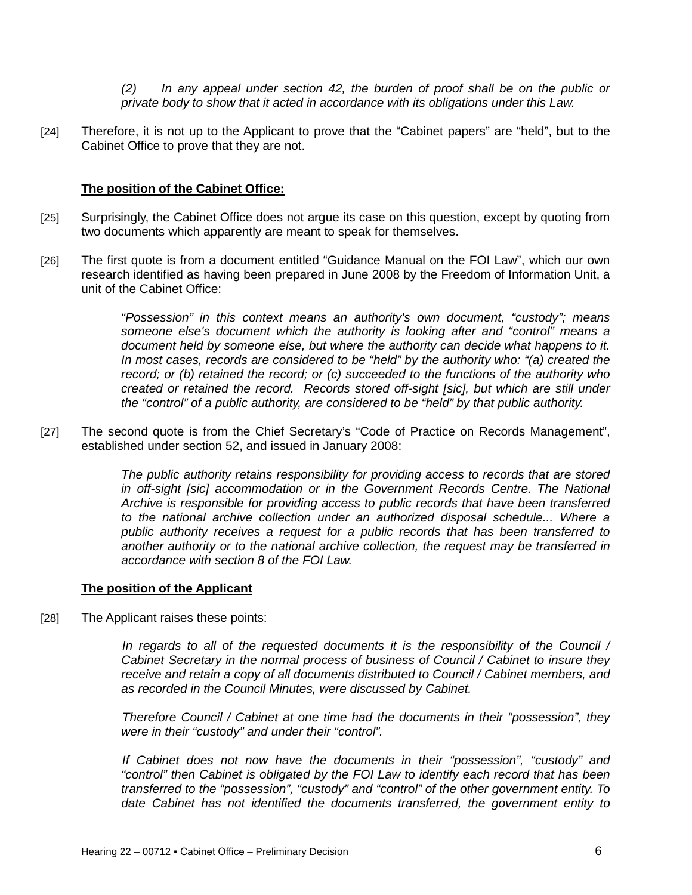*(2) In any appeal under section 42, the burden of proof shall be on the public or private body to show that it acted in accordance with its obligations under this Law.*

[24] Therefore, it is not up to the Applicant to prove that the "Cabinet papers" are "held", but to the Cabinet Office to prove that they are not.

#### **The position of the Cabinet Office:**

- [25] Surprisingly, the Cabinet Office does not argue its case on this question, except by quoting from two documents which apparently are meant to speak for themselves.
- [26] The first quote is from a document entitled "Guidance Manual on the FOI Law", which our own research identified as having been prepared in June 2008 by the Freedom of Information Unit, a unit of the Cabinet Office:

*"Possession" in this context means an authority's own document, "custody"; means someone else's document which the authority is looking after and "control" means a document held by someone else, but where the authority can decide what happens to it. In most cases, records are considered to be "held" by the authority who: "(a) created the record; or (b) retained the record; or (c) succeeded to the functions of the authority who created or retained the record. Records stored off-sight [sic], but which are still under the "control" of a public authority, are considered to be "held" by that public authority.*

[27] The second quote is from the Chief Secretary's "Code of Practice on Records Management", established under section 52, and issued in January 2008:

> *The public authority retains responsibility for providing access to records that are stored in off-sight [sic] accommodation or in the Government Records Centre. The National Archive is responsible for providing access to public records that have been transferred to the national archive collection under an authorized disposal schedule... Where a public authority receives a request for a public records that has been transferred to another authority or to the national archive collection, the request may be transferred in accordance with section 8 of the FOI Law.*

#### **The position of the Applicant**

[28] The Applicant raises these points:

*In regards to all of the requested documents it is the responsibility of the Council / Cabinet Secretary in the normal process of business of Council / Cabinet to insure they receive and retain a copy of all documents distributed to Council / Cabinet members, and as recorded in the Council Minutes, were discussed by Cabinet.*

*Therefore Council / Cabinet at one time had the documents in their "possession", they were in their "custody" and under their "control".*

*If Cabinet does not now have the documents in their "possession", "custody" and "control" then Cabinet is obligated by the FOI Law to identify each record that has been transferred to the "possession", "custody" and "control" of the other government entity. To date Cabinet has not identified the documents transferred, the government entity to*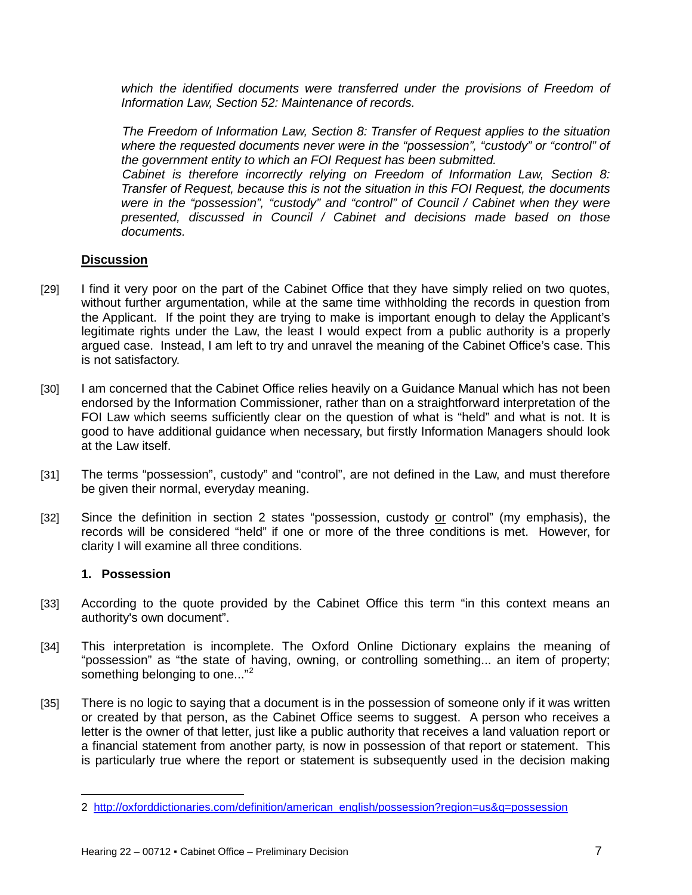which the identified documents were transferred under the provisions of Freedom of *Information Law, Section 52: Maintenance of records.*

*The Freedom of Information Law, Section 8: Transfer of Request applies to the situation where the requested documents never were in the "possession", "custody" or "control" of the government entity to which an FOI Request has been submitted.*

*Cabinet is therefore incorrectly relying on Freedom of Information Law, Section 8: Transfer of Request, because this is not the situation in this FOI Request, the documents were in the "possession", "custody" and "control" of Council / Cabinet when they were presented, discussed in Council / Cabinet and decisions made based on those documents.*

#### **Discussion**

- [29] I find it very poor on the part of the Cabinet Office that they have simply relied on two quotes, without further argumentation, while at the same time withholding the records in question from the Applicant. If the point they are trying to make is important enough to delay the Applicant's legitimate rights under the Law, the least I would expect from a public authority is a properly argued case. Instead, I am left to try and unravel the meaning of the Cabinet Office's case. This is not satisfactory.
- [30] I am concerned that the Cabinet Office relies heavily on a Guidance Manual which has not been endorsed by the Information Commissioner, rather than on a straightforward interpretation of the FOI Law which seems sufficiently clear on the question of what is "held" and what is not. It is good to have additional guidance when necessary, but firstly Information Managers should look at the Law itself.
- [31] The terms "possession", custody" and "control", are not defined in the Law, and must therefore be given their normal, everyday meaning.
- [32] Since the definition in section 2 states "possession, custody or control" (my emphasis), the records will be considered "held" if one or more of the three conditions is met. However, for clarity I will examine all three conditions.

## **1. Possession**

l

- [33] According to the quote provided by the Cabinet Office this term "in this context means an authority's own document".
- [34] This interpretation is incomplete. The Oxford Online Dictionary explains the meaning of "possession" as "the state of having, owning, or controlling something... an item of property; something belonging to one..."<sup>[2](#page-6-0)</sup>
- [35] There is no logic to saying that a document is in the possession of someone only if it was written or created by that person, as the Cabinet Office seems to suggest. A person who receives a letter is the owner of that letter, just like a public authority that receives a land valuation report or a financial statement from another party, is now in possession of that report or statement. This is particularly true where the report or statement is subsequently used in the decision making

<span id="page-6-0"></span><sup>2</sup> [http://oxforddictionaries.com/definition/american\\_english/possession?region=us&q=possession](http://oxforddictionaries.com/definition/american_english/possession?region=us&q=possession)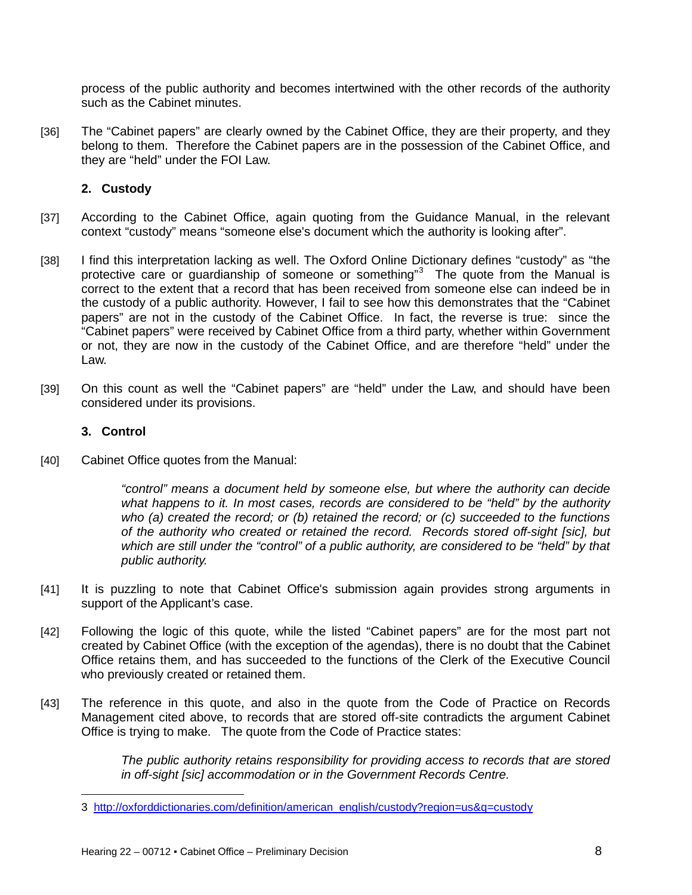process of the public authority and becomes intertwined with the other records of the authority such as the Cabinet minutes.

[36] The "Cabinet papers" are clearly owned by the Cabinet Office, they are their property, and they belong to them. Therefore the Cabinet papers are in the possession of the Cabinet Office, and they are "held" under the FOI Law.

## **2. Custody**

- [37] According to the Cabinet Office, again quoting from the Guidance Manual, in the relevant context "custody" means "someone else's document which the authority is looking after".
- [38] I find this interpretation lacking as well. The Oxford Online Dictionary defines "custody" as "the protective care or guardianship of someone or something"<sup>[3](#page-7-0)</sup> The quote from the Manual is correct to the extent that a record that has been received from someone else can indeed be in the custody of a public authority. However, I fail to see how this demonstrates that the "Cabinet papers" are not in the custody of the Cabinet Office. In fact, the reverse is true: since the "Cabinet papers" were received by Cabinet Office from a third party, whether within Government or not, they are now in the custody of the Cabinet Office, and are therefore "held" under the Law.
- [39] On this count as well the "Cabinet papers" are "held" under the Law, and should have been considered under its provisions.

## **3. Control**

l

[40] Cabinet Office quotes from the Manual:

*"control" means a document held by someone else, but where the authority can decide what happens to it. In most cases, records are considered to be "held" by the authority who (a) created the record; or (b) retained the record; or (c) succeeded to the functions of the authority who created or retained the record. Records stored off-sight [sic], but which are still under the "control" of a public authority, are considered to be "held" by that public authority.*

- [41] It is puzzling to note that Cabinet Office's submission again provides strong arguments in support of the Applicant's case.
- [42] Following the logic of this quote, while the listed "Cabinet papers" are for the most part not created by Cabinet Office (with the exception of the agendas), there is no doubt that the Cabinet Office retains them, and has succeeded to the functions of the Clerk of the Executive Council who previously created or retained them.
- [43] The reference in this quote, and also in the quote from the Code of Practice on Records Management cited above, to records that are stored off-site contradicts the argument Cabinet Office is trying to make. The quote from the Code of Practice states:

*The public authority retains responsibility for providing access to records that are stored in off-sight [sic] accommodation or in the Government Records Centre.*

<span id="page-7-0"></span><sup>3</sup> [http://oxforddictionaries.com/definition/american\\_english/custody?region=us&q=custody](http://oxforddictionaries.com/definition/american_english/custody?region=us&q=custody)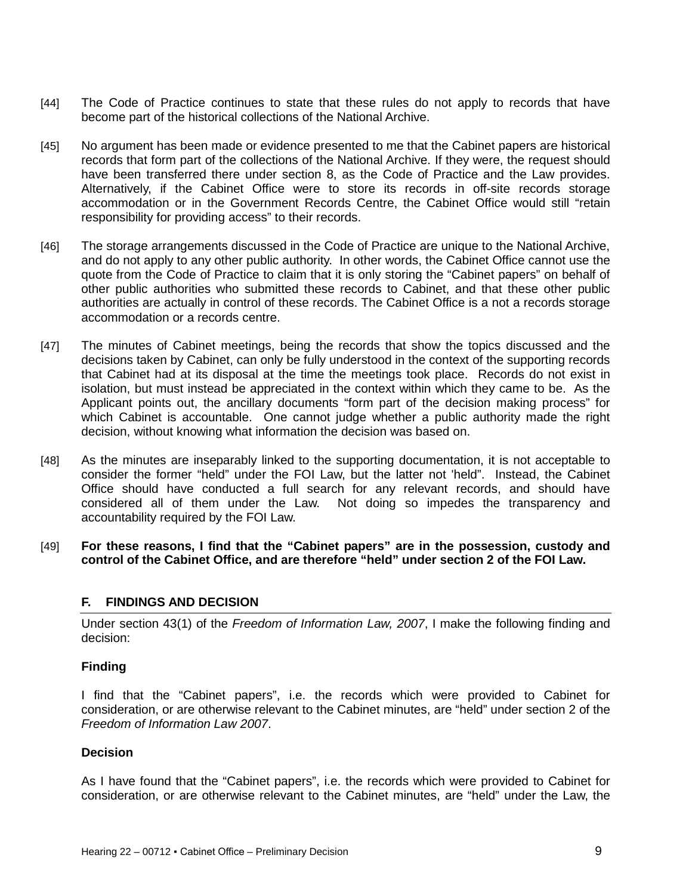- [44] The Code of Practice continues to state that these rules do not apply to records that have become part of the historical collections of the National Archive.
- [45] No argument has been made or evidence presented to me that the Cabinet papers are historical records that form part of the collections of the National Archive. If they were, the request should have been transferred there under section 8, as the Code of Practice and the Law provides. Alternatively, if the Cabinet Office were to store its records in off-site records storage accommodation or in the Government Records Centre, the Cabinet Office would still "retain responsibility for providing access" to their records.
- [46] The storage arrangements discussed in the Code of Practice are unique to the National Archive, and do not apply to any other public authority. In other words, the Cabinet Office cannot use the quote from the Code of Practice to claim that it is only storing the "Cabinet papers" on behalf of other public authorities who submitted these records to Cabinet, and that these other public authorities are actually in control of these records. The Cabinet Office is a not a records storage accommodation or a records centre.
- [47] The minutes of Cabinet meetings, being the records that show the topics discussed and the decisions taken by Cabinet, can only be fully understood in the context of the supporting records that Cabinet had at its disposal at the time the meetings took place. Records do not exist in isolation, but must instead be appreciated in the context within which they came to be. As the Applicant points out, the ancillary documents "form part of the decision making process" for which Cabinet is accountable. One cannot judge whether a public authority made the right decision, without knowing what information the decision was based on.
- [48] As the minutes are inseparably linked to the supporting documentation, it is not acceptable to consider the former "held" under the FOI Law, but the latter not 'held". Instead, the Cabinet Office should have conducted a full search for any relevant records, and should have considered all of them under the Law. Not doing so impedes the transparency and accountability required by the FOI Law.
- [49] **For these reasons, I find that the "Cabinet papers" are in the possession, custody and control of the Cabinet Office, and are therefore "held" under section 2 of the FOI Law.**

## <span id="page-8-0"></span>**F. FINDINGS AND DECISION**

Under section 43(1) of the *Freedom of Information Law, 2007*, I make the following finding and decision:

#### **Finding**

I find that the "Cabinet papers", i.e. the records which were provided to Cabinet for consideration, or are otherwise relevant to the Cabinet minutes, are "held" under section 2 of the *Freedom of Information Law 2007*.

#### **Decision**

As I have found that the "Cabinet papers", i.e. the records which were provided to Cabinet for consideration, or are otherwise relevant to the Cabinet minutes, are "held" under the Law, the